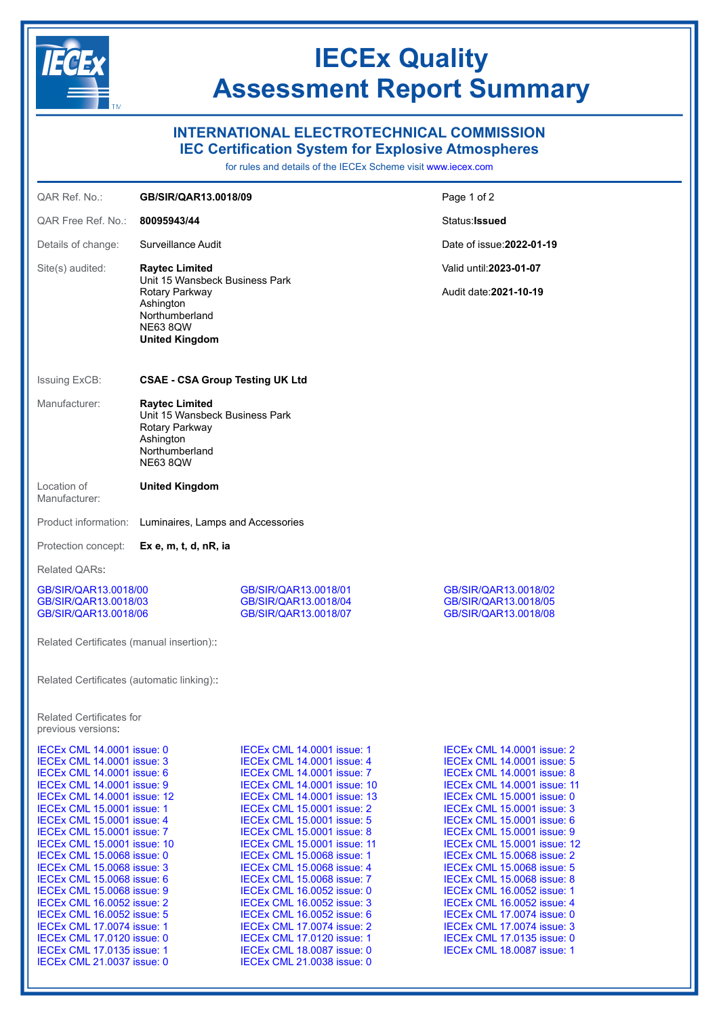

## **IECEx Quality Assessment Report Summary**

## **INTERNATIONAL ELECTROTECHNICAL COMMISSION**

**IEC Certification System for Explosive Atmospheres**

for rules and details of the IECEx Scheme visit [www.iecex.com](https://www.iecex.com)

| QAR Ref. No.:                                                                                                                                                                                                                                                                                                                                                                                                                                                                                                                                                                                                                                                                                     | GB/SIR/QAR13.0018/09                                                                                                                                 |                                                                                                                                                                                                                                                                                                                                                                                                                                                                                                                                                                                                                                                                                             | Page 1 of 2                                                                                                                                                                                                                                                                                                                                                                                                                                                                                                                                                                                                                                                  |
|---------------------------------------------------------------------------------------------------------------------------------------------------------------------------------------------------------------------------------------------------------------------------------------------------------------------------------------------------------------------------------------------------------------------------------------------------------------------------------------------------------------------------------------------------------------------------------------------------------------------------------------------------------------------------------------------------|------------------------------------------------------------------------------------------------------------------------------------------------------|---------------------------------------------------------------------------------------------------------------------------------------------------------------------------------------------------------------------------------------------------------------------------------------------------------------------------------------------------------------------------------------------------------------------------------------------------------------------------------------------------------------------------------------------------------------------------------------------------------------------------------------------------------------------------------------------|--------------------------------------------------------------------------------------------------------------------------------------------------------------------------------------------------------------------------------------------------------------------------------------------------------------------------------------------------------------------------------------------------------------------------------------------------------------------------------------------------------------------------------------------------------------------------------------------------------------------------------------------------------------|
| QAR Free Ref. No.:                                                                                                                                                                                                                                                                                                                                                                                                                                                                                                                                                                                                                                                                                | 80095943/44                                                                                                                                          |                                                                                                                                                                                                                                                                                                                                                                                                                                                                                                                                                                                                                                                                                             | Status: Issued                                                                                                                                                                                                                                                                                                                                                                                                                                                                                                                                                                                                                                               |
| Details of change:                                                                                                                                                                                                                                                                                                                                                                                                                                                                                                                                                                                                                                                                                | Surveillance Audit                                                                                                                                   |                                                                                                                                                                                                                                                                                                                                                                                                                                                                                                                                                                                                                                                                                             | Date of issue: 2022-01-19                                                                                                                                                                                                                                                                                                                                                                                                                                                                                                                                                                                                                                    |
| Site(s) audited:                                                                                                                                                                                                                                                                                                                                                                                                                                                                                                                                                                                                                                                                                  | <b>Raytec Limited</b><br>Unit 15 Wansbeck Business Park<br>Rotary Parkway<br>Ashington<br>Northumberland<br><b>NE63 8QW</b><br><b>United Kingdom</b> |                                                                                                                                                                                                                                                                                                                                                                                                                                                                                                                                                                                                                                                                                             | Valid until: 2023-01-07<br>Audit date: 2021-10-19                                                                                                                                                                                                                                                                                                                                                                                                                                                                                                                                                                                                            |
| <b>CSAE - CSA Group Testing UK Ltd</b><br><b>Issuing ExCB:</b>                                                                                                                                                                                                                                                                                                                                                                                                                                                                                                                                                                                                                                    |                                                                                                                                                      |                                                                                                                                                                                                                                                                                                                                                                                                                                                                                                                                                                                                                                                                                             |                                                                                                                                                                                                                                                                                                                                                                                                                                                                                                                                                                                                                                                              |
| Manufacturer:                                                                                                                                                                                                                                                                                                                                                                                                                                                                                                                                                                                                                                                                                     | <b>Raytec Limited</b><br>Unit 15 Wansbeck Business Park<br>Rotary Parkway<br>Ashington<br>Northumberland<br><b>NE63 8QW</b>                          |                                                                                                                                                                                                                                                                                                                                                                                                                                                                                                                                                                                                                                                                                             |                                                                                                                                                                                                                                                                                                                                                                                                                                                                                                                                                                                                                                                              |
| Location of<br>Manufacturer:                                                                                                                                                                                                                                                                                                                                                                                                                                                                                                                                                                                                                                                                      | <b>United Kingdom</b>                                                                                                                                |                                                                                                                                                                                                                                                                                                                                                                                                                                                                                                                                                                                                                                                                                             |                                                                                                                                                                                                                                                                                                                                                                                                                                                                                                                                                                                                                                                              |
| Product information:                                                                                                                                                                                                                                                                                                                                                                                                                                                                                                                                                                                                                                                                              | Luminaires, Lamps and Accessories                                                                                                                    |                                                                                                                                                                                                                                                                                                                                                                                                                                                                                                                                                                                                                                                                                             |                                                                                                                                                                                                                                                                                                                                                                                                                                                                                                                                                                                                                                                              |
| Protection concept:<br>Ex e, m, t, d, nR, ia                                                                                                                                                                                                                                                                                                                                                                                                                                                                                                                                                                                                                                                      |                                                                                                                                                      |                                                                                                                                                                                                                                                                                                                                                                                                                                                                                                                                                                                                                                                                                             |                                                                                                                                                                                                                                                                                                                                                                                                                                                                                                                                                                                                                                                              |
| Related QARs:                                                                                                                                                                                                                                                                                                                                                                                                                                                                                                                                                                                                                                                                                     |                                                                                                                                                      |                                                                                                                                                                                                                                                                                                                                                                                                                                                                                                                                                                                                                                                                                             |                                                                                                                                                                                                                                                                                                                                                                                                                                                                                                                                                                                                                                                              |
| GB/SIR/QAR13.0018/00<br>GB/SIR/QAR13.0018/03<br>GB/SIR/QAR13.0018/06<br>Related Certificates (manual insertion):                                                                                                                                                                                                                                                                                                                                                                                                                                                                                                                                                                                  |                                                                                                                                                      | GB/SIR/QAR13.0018/01<br>GB/SIR/QAR13.0018/04<br>GB/SIR/QAR13.0018/07                                                                                                                                                                                                                                                                                                                                                                                                                                                                                                                                                                                                                        | GB/SIR/QAR13.0018/02<br>GB/SIR/QAR13.0018/05<br>GB/SIR/QAR13.0018/08                                                                                                                                                                                                                                                                                                                                                                                                                                                                                                                                                                                         |
| Related Certificates (automatic linking)::                                                                                                                                                                                                                                                                                                                                                                                                                                                                                                                                                                                                                                                        |                                                                                                                                                      |                                                                                                                                                                                                                                                                                                                                                                                                                                                                                                                                                                                                                                                                                             |                                                                                                                                                                                                                                                                                                                                                                                                                                                                                                                                                                                                                                                              |
| <b>Related Certificates for</b><br>previous versions:                                                                                                                                                                                                                                                                                                                                                                                                                                                                                                                                                                                                                                             |                                                                                                                                                      |                                                                                                                                                                                                                                                                                                                                                                                                                                                                                                                                                                                                                                                                                             |                                                                                                                                                                                                                                                                                                                                                                                                                                                                                                                                                                                                                                                              |
| <b>IECEX CML 14.0001 issue: 0</b><br><b>IECEX CML 14.0001 issue: 3</b><br><b>IECEX CML 14.0001 issue: 6</b><br><b>IECEX CML 14.0001 issue: 9</b><br><b>IECEX CML 14.0001 issue: 12</b><br>IECEx CML 15.0001 issue: 1<br><b>IECEx CML 15.0001 issue: 4</b><br><b>IECEX CML 15,0001 issue: 7</b><br><b>IECEX CML 15,0001 issue: 10</b><br><b>IECEX CML 15,0068 issue: 0</b><br><b>IECEX CML 15.0068 issue: 3</b><br>IECEx CML 15.0068 issue: 6<br><b>IECEX CML 15.0068 issue: 9</b><br><b>IECEX CML 16.0052 issue: 2</b><br><b>IECEX CML 16.0052 issue: 5</b><br>IECEx CML 17.0074 issue: 1<br><b>IECEX CML 17.0120 issue: 0</b><br><b>IECEx CML 17.0135 issue: 1</b><br>IECEx CML 21.0037 issue: 0 |                                                                                                                                                      | <b>IECEX CML 14.0001 issue: 1</b><br>IECEX CML 14.0001 issue: 4<br>IECEX CML 14.0001 issue: 7<br><b>IECEx CML 14.0001 issue: 10</b><br><b>IECEx CML 14.0001 issue: 13</b><br><b>IECEX CML 15.0001 issue: 2</b><br><b>IECEx CML 15.0001 issue: 5</b><br>IECEx CML 15.0001 issue: 8<br><b>IECEX CML 15.0001 issue: 11</b><br><b>IECEX CML 15,0068 issue: 1</b><br><b>IECEX CML 15.0068 issue: 4</b><br>IECEx CML 15.0068 issue: 7<br><b>IECEX CML 16.0052 issue: 0</b><br><b>IECEX CML 16.0052 issue: 3</b><br>IECEx CML 16.0052 issue: 6<br><b>IECEX CML 17.0074 issue: 2</b><br><b>IECEX CML 17.0120 issue: 1</b><br><b>IECEx CML 18.0087 issue: 0</b><br><b>IECEX CML 21.0038 issue: 0</b> | IECEX CML 14.0001 issue: 2<br><b>IECEX CML 14.0001 issue: 5</b><br>IECEX CML 14.0001 issue: 8<br><b>IECEx CML 14.0001 issue: 11</b><br><b>IECEx CML 15.0001 issue: 0</b><br><b>IECEX CML 15.0001 issue: 3</b><br>IECEx CML 15.0001 issue: 6<br><b>IECEx CML 15.0001 issue: 9</b><br><b>IECEX CML 15,0001 issue: 12</b><br><b>IECEX CML 15.0068 issue: 2</b><br><b>IECEX CML 15.0068 issue: 5</b><br><b>IECEX CML 15.0068 issue: 8</b><br><b>IECEX CML 16.0052 issue: 1</b><br><b>IECEX CML 16.0052 issue: 4</b><br><b>IECEx CML 17.0074 issue: 0</b><br><b>IECEX CML 17.0074 issue: 3</b><br><b>IECEX CML 17.0135 issue: 0</b><br>IECEx CML 18.0087 issue: 1 |